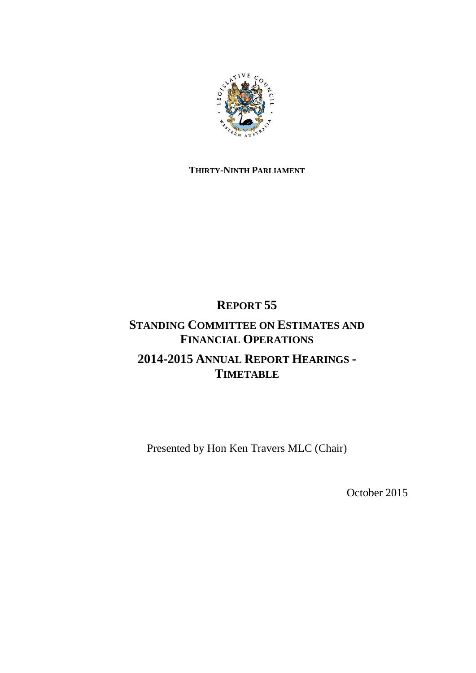

## **THIRTY-NINTH PARLIAMENT**

# **REPORT 55**

# **STANDING COMMITTEE ON ESTIMATES AND FINANCIAL OPERATIONS 2014-2015 ANNUAL REPORT HEARINGS - TIMETABLE**

Presented by Hon Ken Travers MLC (Chair)

October 2015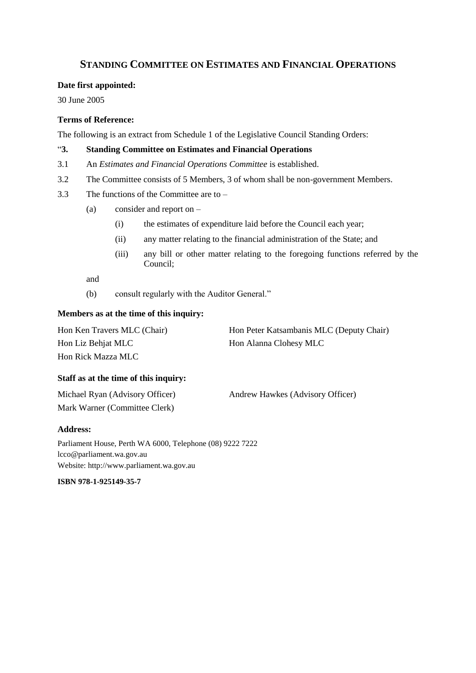### **STANDING COMMITTEE ON ESTIMATES AND FINANCIAL OPERATIONS**

#### **Date first appointed:**

30 June 2005

#### **Terms of Reference:**

The following is an extract from Schedule 1 of the Legislative Council Standing Orders:

#### "**3. Standing Committee on Estimates and Financial Operations**

- 3.1 An *Estimates and Financial Operations Committee* is established.
- 3.2 The Committee consists of 5 Members, 3 of whom shall be non-government Members.
- 3.3 The functions of the Committee are to
	- (a) consider and report on
		- (i) the estimates of expenditure laid before the Council each year;
		- (ii) any matter relating to the financial administration of the State; and
		- (iii) any bill or other matter relating to the foregoing functions referred by the Council;

and

(b) consult regularly with the Auditor General."

#### **Members as at the time of this inquiry:**

| Hon Ken Travers MLC (Chair) | Hon Peter Katsambanis MLC (Deputy Chair) |  |
|-----------------------------|------------------------------------------|--|
| Hon Liz Behjat MLC          | Hon Alanna Clohesy MLC                   |  |
| Hon Rick Mazza MLC          |                                          |  |

#### **Staff as at the time of this inquiry:**

| Michael Ryan (Advisory Officer) | Andrew Hawkes (Advisory Officer) |
|---------------------------------|----------------------------------|
| Mark Warner (Committee Clerk)   |                                  |

#### **Address:**

Parliament House, Perth WA 6000, Telephone (08) 9222 7222 lcco@parliament.wa.gov.au Website: http://www.parliament.wa.gov.au

**ISBN [978-1-925149-35-7](https://www.myidentifiers.com.au/myaccount_manageisbns_titlereg?isbn=978-1-925149-35-7&icon_type=new)**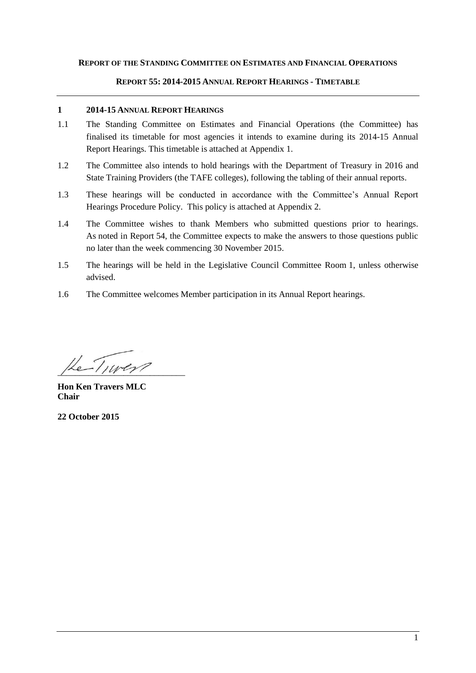#### **REPORT OF THE STANDING COMMITTEE ON ESTIMATES AND FINANCIAL OPERATIONS**

#### **REPORT 55: 2014-2015 ANNUAL REPORT HEARINGS - TIMETABLE**

#### **1 2014-15 ANNUAL REPORT HEARINGS**

- 1.1 The Standing Committee on Estimates and Financial Operations (the Committee) has finalised its timetable for most agencies it intends to examine during its 2014-15 Annual Report Hearings. This timetable is attached at Appendix 1.
- 1.2 The Committee also intends to hold hearings with the Department of Treasury in 2016 and State Training Providers (the TAFE colleges), following the tabling of their annual reports.
- 1.3 These hearings will be conducted in accordance with the Committee's Annual Report Hearings Procedure Policy. This policy is attached at Appendix 2.
- 1.4 The Committee wishes to thank Members who submitted questions prior to hearings. As noted in Report 54, the Committee expects to make the answers to those questions public no later than the week commencing 30 November 2015.
- 1.5 The hearings will be held in the Legislative Council Committee Room 1, unless otherwise advised.
- 1.6 The Committee welcomes Member participation in its Annual Report hearings.

 $He-Tuvery?$ 

**Hon Ken Travers MLC Chair**

**22 October 2015**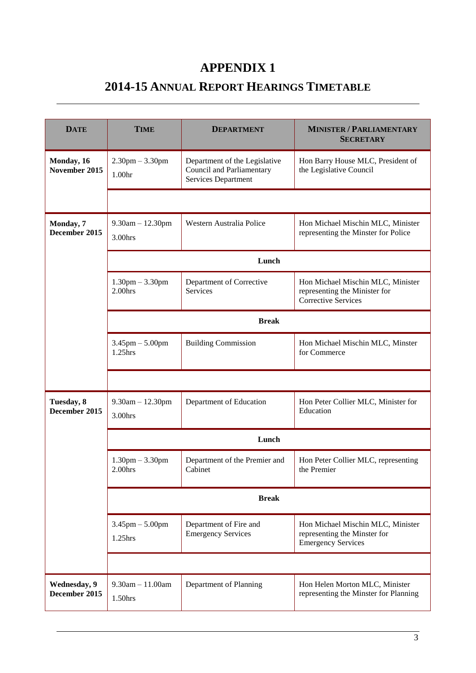## **APPENDIX 1**

# **2014-15 ANNUAL REPORT HEARINGS TIMETABLE**

| <b>DATE</b>                   | <b>TIME</b>                         | <b>DEPARTMENT</b>                                                                 | <b>MINISTER / PARLIAMENTARY</b><br><b>SECRETARY</b>                                              |  |  |  |
|-------------------------------|-------------------------------------|-----------------------------------------------------------------------------------|--------------------------------------------------------------------------------------------------|--|--|--|
| Monday, 16<br>November 2015   | $2.30$ pm $- 3.30$ pm<br>1.00hr     | Department of the Legislative<br>Council and Parliamentary<br>Services Department | Hon Barry House MLC, President of<br>the Legislative Council                                     |  |  |  |
|                               |                                     |                                                                                   |                                                                                                  |  |  |  |
| Monday, 7<br>December 2015    | $9.30am - 12.30pm$<br>3.00hrs       | Western Australia Police                                                          | Hon Michael Mischin MLC, Minister<br>representing the Minster for Police                         |  |  |  |
|                               |                                     | Lunch                                                                             |                                                                                                  |  |  |  |
|                               | $1.30$ pm $- 3.30$ pm<br>$2.00$ hrs | Department of Corrective<br>Services                                              | Hon Michael Mischin MLC, Minister<br>representing the Minister for<br><b>Corrective Services</b> |  |  |  |
|                               | <b>Break</b>                        |                                                                                   |                                                                                                  |  |  |  |
|                               | $3.45$ pm $- 5.00$ pm<br>$1.25$ hrs | <b>Building Commission</b>                                                        | Hon Michael Mischin MLC, Minster<br>for Commerce                                                 |  |  |  |
|                               |                                     |                                                                                   |                                                                                                  |  |  |  |
| Tuesday, 8<br>December 2015   | $9.30am - 12.30pm$<br>3.00hrs       | Department of Education                                                           | Hon Peter Collier MLC, Minister for<br>Education                                                 |  |  |  |
|                               | Lunch                               |                                                                                   |                                                                                                  |  |  |  |
|                               | $1.30$ pm $-3.30$ pm<br>$2.00$ hrs  | Department of the Premier and<br>Cabinet                                          | Hon Peter Collier MLC, representing<br>the Premier                                               |  |  |  |
|                               | <b>Break</b>                        |                                                                                   |                                                                                                  |  |  |  |
|                               | $3.45$ pm $- 5.00$ pm<br>1.25hrs    | Department of Fire and<br><b>Emergency Services</b>                               | Hon Michael Mischin MLC, Minister<br>representing the Minster for<br><b>Emergency Services</b>   |  |  |  |
|                               |                                     |                                                                                   |                                                                                                  |  |  |  |
| Wednesday, 9<br>December 2015 | $9.30am - 11.00am$<br>1.50hrs       | Department of Planning                                                            | Hon Helen Morton MLC, Minister<br>representing the Minster for Planning                          |  |  |  |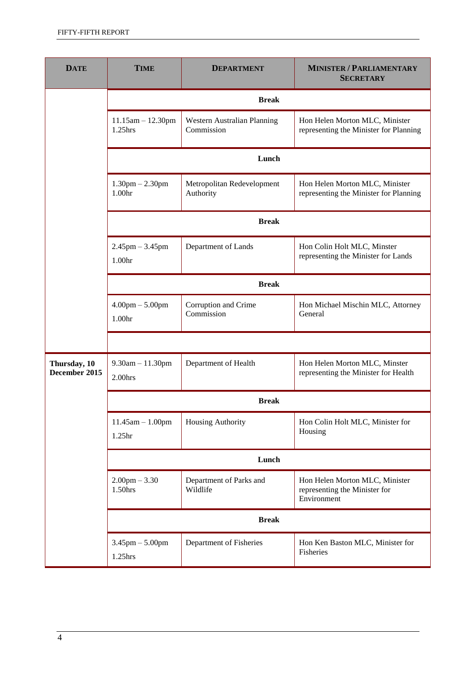| <b>DATE</b>                   | <b>TIME</b>                                 | <b>DEPARTMENT</b>                         | <b>MINISTER / PARLIAMENTARY</b><br><b>SECRETARY</b>                            |  |  |  |
|-------------------------------|---------------------------------------------|-------------------------------------------|--------------------------------------------------------------------------------|--|--|--|
|                               | <b>Break</b>                                |                                           |                                                                                |  |  |  |
|                               | $11.15$ am $- 12.30$ pm<br>1.25hrs          | Western Australian Planning<br>Commission | Hon Helen Morton MLC, Minister<br>representing the Minister for Planning       |  |  |  |
|                               |                                             |                                           |                                                                                |  |  |  |
|                               | $1.30$ pm $- 2.30$ pm<br>1.00hr             | Metropolitan Redevelopment<br>Authority   | Hon Helen Morton MLC, Minister<br>representing the Minister for Planning       |  |  |  |
|                               | <b>Break</b>                                |                                           |                                                                                |  |  |  |
|                               | $2.45$ pm $-3.45$ pm<br>1.00hr              | Department of Lands                       | Hon Colin Holt MLC, Minster<br>representing the Minister for Lands             |  |  |  |
|                               | <b>Break</b>                                |                                           |                                                                                |  |  |  |
|                               | $4.00 \text{pm} - 5.00 \text{pm}$<br>1.00hr | Corruption and Crime<br>Commission        | Hon Michael Mischin MLC, Attorney<br>General                                   |  |  |  |
|                               |                                             |                                           |                                                                                |  |  |  |
| Thursday, 10<br>December 2015 | $9.30am - 11.30pm$<br>$2.00$ hrs            | Department of Health                      | Hon Helen Morton MLC, Minster<br>representing the Minister for Health          |  |  |  |
|                               | <b>Break</b>                                |                                           |                                                                                |  |  |  |
|                               | $11.45$ am $- 1.00$ pm<br>1.25hr            | Housing Authority                         | Hon Colin Holt MLC, Minister for<br>Housing                                    |  |  |  |
|                               | Lunch                                       |                                           |                                                                                |  |  |  |
|                               | $2.00$ pm $-3.30$<br>1.50hrs                | Department of Parks and<br>Wildlife       | Hon Helen Morton MLC, Minister<br>representing the Minister for<br>Environment |  |  |  |
|                               | <b>Break</b>                                |                                           |                                                                                |  |  |  |
|                               | $3.45$ pm $- 5.00$ pm<br>1.25hrs            | Department of Fisheries                   | Hon Ken Baston MLC, Minister for<br>Fisheries                                  |  |  |  |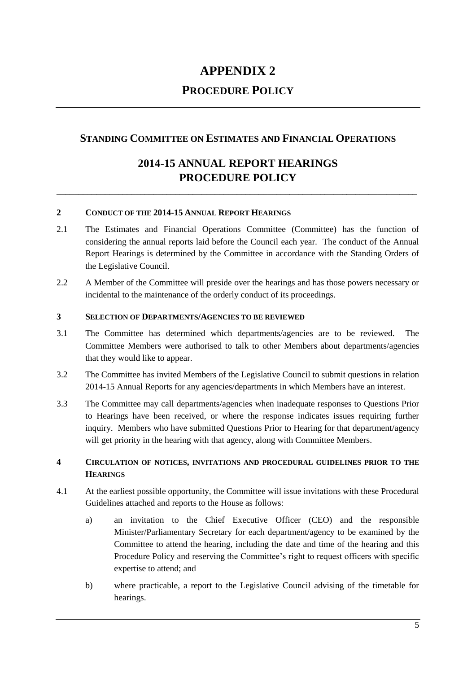## **APPENDIX 2**

## **PROCEDURE POLICY**

### **STANDING COMMITTEE ON ESTIMATES AND FINANCIAL OPERATIONS**

## **2014-15 ANNUAL REPORT HEARINGS PROCEDURE POLICY**

\_\_\_\_\_\_\_\_\_\_\_\_\_\_\_\_\_\_\_\_\_\_\_\_\_\_\_\_\_\_\_\_\_\_\_\_\_\_\_\_\_\_\_\_\_\_\_\_\_\_\_\_\_\_\_\_\_\_\_\_\_\_\_\_\_\_\_\_\_\_\_\_\_\_\_\_\_\_\_\_\_\_

#### **2 CONDUCT OF THE 2014-15 ANNUAL REPORT HEARINGS**

- 2.1 The Estimates and Financial Operations Committee (Committee) has the function of considering the annual reports laid before the Council each year. The conduct of the Annual Report Hearings is determined by the Committee in accordance with the Standing Orders of the Legislative Council.
- 2.2 A Member of the Committee will preside over the hearings and has those powers necessary or incidental to the maintenance of the orderly conduct of its proceedings.

#### **3 SELECTION OF DEPARTMENTS/AGENCIES TO BE REVIEWED**

- 3.1 The Committee has determined which departments/agencies are to be reviewed. The Committee Members were authorised to talk to other Members about departments/agencies that they would like to appear.
- 3.2 The Committee has invited Members of the Legislative Council to submit questions in relation 2014-15 Annual Reports for any agencies/departments in which Members have an interest.
- 3.3 The Committee may call departments/agencies when inadequate responses to Questions Prior to Hearings have been received, or where the response indicates issues requiring further inquiry. Members who have submitted Questions Prior to Hearing for that department/agency will get priority in the hearing with that agency, along with Committee Members.

#### **4 CIRCULATION OF NOTICES, INVITATIONS AND PROCEDURAL GUIDELINES PRIOR TO THE HEARINGS**

- 4.1 At the earliest possible opportunity, the Committee will issue invitations with these Procedural Guidelines attached and reports to the House as follows:
	- a) an invitation to the Chief Executive Officer (CEO) and the responsible Minister/Parliamentary Secretary for each department/agency to be examined by the Committee to attend the hearing, including the date and time of the hearing and this Procedure Policy and reserving the Committee's right to request officers with specific expertise to attend; and
	- b) where practicable, a report to the Legislative Council advising of the timetable for hearings.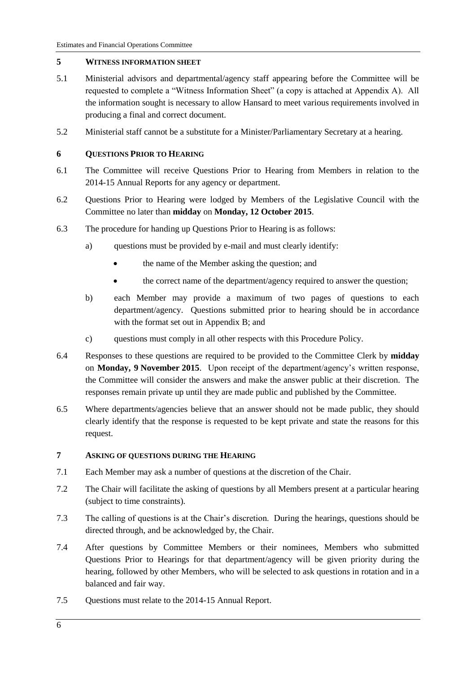#### **5 WITNESS INFORMATION SHEET**

- 5.1 Ministerial advisors and departmental/agency staff appearing before the Committee will be requested to complete a "Witness Information Sheet" (a copy is attached at Appendix A). All the information sought is necessary to allow Hansard to meet various requirements involved in producing a final and correct document.
- 5.2 Ministerial staff cannot be a substitute for a Minister/Parliamentary Secretary at a hearing.

#### **6 QUESTIONS PRIOR TO HEARING**

- 6.1 The Committee will receive Questions Prior to Hearing from Members in relation to the 2014-15 Annual Reports for any agency or department.
- 6.2 Questions Prior to Hearing were lodged by Members of the Legislative Council with the Committee no later than **midday** on **Monday, 12 October 2015**.
- 6.3 The procedure for handing up Questions Prior to Hearing is as follows:
	- a) questions must be provided by e-mail and must clearly identify:
		- the name of the Member asking the question; and
		- the correct name of the department/agency required to answer the question;
	- b) each Member may provide a maximum of two pages of questions to each department/agency. Questions submitted prior to hearing should be in accordance with the format set out in Appendix B; and
	- c) questions must comply in all other respects with this Procedure Policy.
- 6.4 Responses to these questions are required to be provided to the Committee Clerk by **midday** on **Monday, 9 November 2015**. Upon receipt of the department/agency's written response, the Committee will consider the answers and make the answer public at their discretion. The responses remain private up until they are made public and published by the Committee.
- 6.5 Where departments/agencies believe that an answer should not be made public, they should clearly identify that the response is requested to be kept private and state the reasons for this request.

#### **7 ASKING OF QUESTIONS DURING THE HEARING**

- 7.1 Each Member may ask a number of questions at the discretion of the Chair.
- 7.2 The Chair will facilitate the asking of questions by all Members present at a particular hearing (subject to time constraints).
- 7.3 The calling of questions is at the Chair's discretion. During the hearings, questions should be directed through, and be acknowledged by, the Chair.
- 7.4 After questions by Committee Members or their nominees, Members who submitted Questions Prior to Hearings for that department/agency will be given priority during the hearing, followed by other Members, who will be selected to ask questions in rotation and in a balanced and fair way.
- 7.5 Questions must relate to the 2014-15 Annual Report.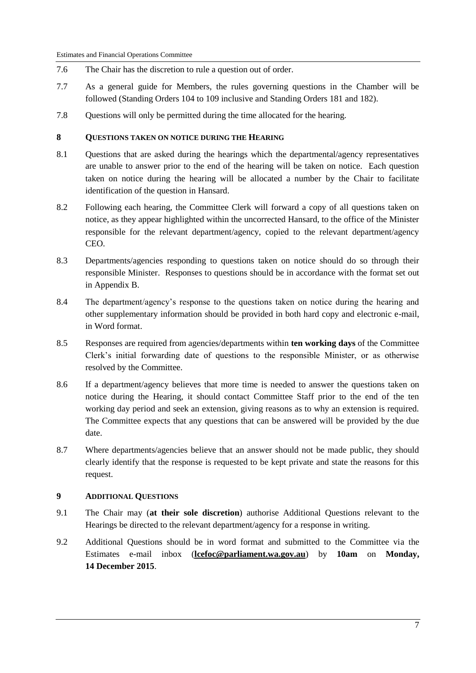- 7.6 The Chair has the discretion to rule a question out of order.
- 7.7 As a general guide for Members, the rules governing questions in the Chamber will be followed (Standing Orders 104 to 109 inclusive and Standing Orders 181 and 182).
- 7.8 Questions will only be permitted during the time allocated for the hearing.

#### **8 QUESTIONS TAKEN ON NOTICE DURING THE HEARING**

- 8.1 Questions that are asked during the hearings which the departmental/agency representatives are unable to answer prior to the end of the hearing will be taken on notice. Each question taken on notice during the hearing will be allocated a number by the Chair to facilitate identification of the question in Hansard.
- 8.2 Following each hearing, the Committee Clerk will forward a copy of all questions taken on notice, as they appear highlighted within the uncorrected Hansard, to the office of the Minister responsible for the relevant department/agency, copied to the relevant department/agency CEO.
- 8.3 Departments/agencies responding to questions taken on notice should do so through their responsible Minister. Responses to questions should be in accordance with the format set out in Appendix B.
- 8.4 The department/agency's response to the questions taken on notice during the hearing and other supplementary information should be provided in both hard copy and electronic e-mail, in Word format.
- 8.5 Responses are required from agencies/departments within **ten working days** of the Committee Clerk's initial forwarding date of questions to the responsible Minister, or as otherwise resolved by the Committee.
- 8.6 If a department/agency believes that more time is needed to answer the questions taken on notice during the Hearing, it should contact Committee Staff prior to the end of the ten working day period and seek an extension, giving reasons as to why an extension is required. The Committee expects that any questions that can be answered will be provided by the due date.
- 8.7 Where departments/agencies believe that an answer should not be made public, they should clearly identify that the response is requested to be kept private and state the reasons for this request.

#### **9 ADDITIONAL QUESTIONS**

- 9.1 The Chair may (**at their sole discretion**) authorise Additional Questions relevant to the Hearings be directed to the relevant department/agency for a response in writing.
- 9.2 Additional Questions should be in word format and submitted to the Committee via the Estimates e-mail inbox (**lcefoc@parliament.wa.gov.au**) by **10am** on **Monday, 14 December 2015**.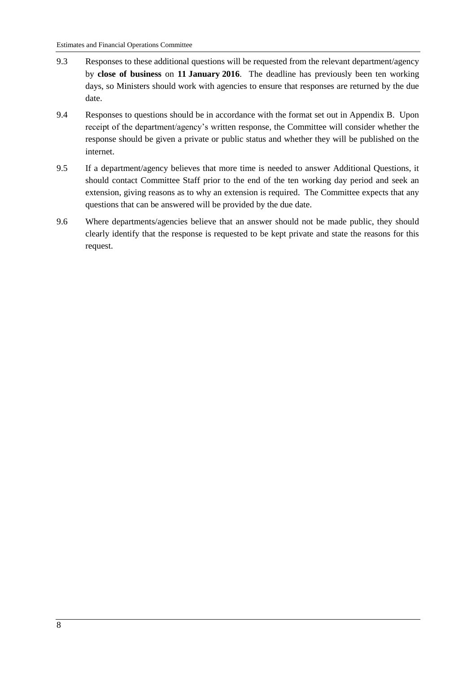- 9.3 Responses to these additional questions will be requested from the relevant department/agency by **close of business** on **11 January 2016**. The deadline has previously been ten working days, so Ministers should work with agencies to ensure that responses are returned by the due date.
- 9.4 Responses to questions should be in accordance with the format set out in Appendix B. Upon receipt of the department/agency's written response, the Committee will consider whether the response should be given a private or public status and whether they will be published on the internet.
- 9.5 If a department/agency believes that more time is needed to answer Additional Questions, it should contact Committee Staff prior to the end of the ten working day period and seek an extension, giving reasons as to why an extension is required. The Committee expects that any questions that can be answered will be provided by the due date.
- 9.6 Where departments/agencies believe that an answer should not be made public, they should clearly identify that the response is requested to be kept private and state the reasons for this request.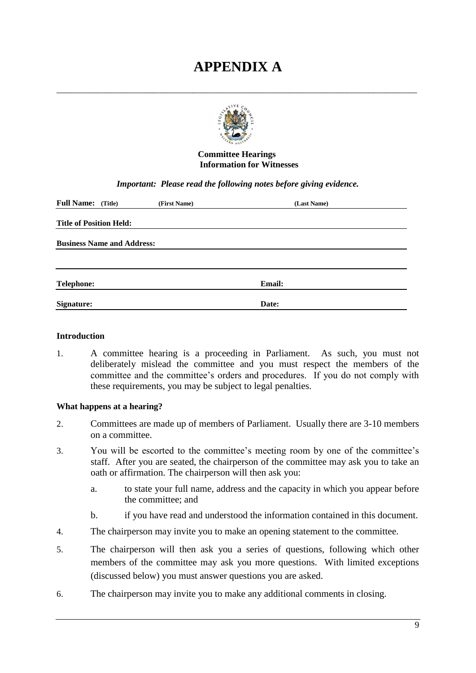# **APPENDIX A**

\_\_\_\_\_\_\_\_\_\_\_\_\_\_\_\_\_\_\_\_\_\_\_\_\_\_\_\_\_\_\_\_\_\_\_\_\_\_\_\_\_\_\_\_\_\_\_\_\_\_\_\_\_\_\_\_\_\_\_\_\_\_\_\_\_\_\_\_\_\_\_\_\_\_\_\_\_\_\_\_\_\_



#### **Committee Hearings Information for Witnesses**

#### *Important: Please read the following notes before giving evidence.*

| <b>Full Name:</b> (Title)         | (First Name) | (Last Name)   |  |
|-----------------------------------|--------------|---------------|--|
| <b>Title of Position Held:</b>    |              |               |  |
| <b>Business Name and Address:</b> |              |               |  |
|                                   |              |               |  |
| <b>Telephone:</b>                 |              | <b>Email:</b> |  |
| <b>Signature:</b>                 |              | Date:         |  |

#### **Introduction**

1. A committee hearing is a proceeding in Parliament. As such, you must not deliberately mislead the committee and you must respect the members of the committee and the committee's orders and procedures. If you do not comply with these requirements, you may be subject to legal penalties.

#### **What happens at a hearing?**

- 2. Committees are made up of members of Parliament. Usually there are 3-10 members on a committee.
- 3. You will be escorted to the committee's meeting room by one of the committee's staff. After you are seated, the chairperson of the committee may ask you to take an oath or affirmation. The chairperson will then ask you:
	- a. to state your full name, address and the capacity in which you appear before the committee; and
	- b. if you have read and understood the information contained in this document.
- 4. The chairperson may invite you to make an opening statement to the committee.
- 5. The chairperson will then ask you a series of questions, following which other members of the committee may ask you more questions. With limited exceptions (discussed below) you must answer questions you are asked.
- 6. The chairperson may invite you to make any additional comments in closing.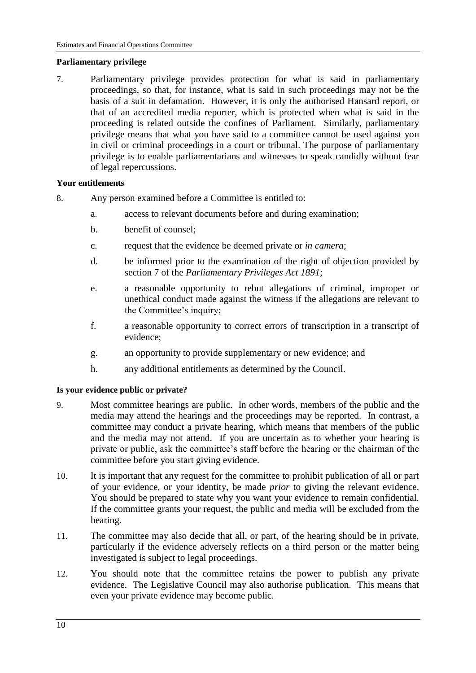#### **Parliamentary privilege**

7. Parliamentary privilege provides protection for what is said in parliamentary proceedings, so that, for instance, what is said in such proceedings may not be the basis of a suit in defamation. However, it is only the authorised Hansard report, or that of an accredited media reporter, which is protected when what is said in the proceeding is related outside the confines of Parliament. Similarly, parliamentary privilege means that what you have said to a committee cannot be used against you in civil or criminal proceedings in a court or tribunal. The purpose of parliamentary privilege is to enable parliamentarians and witnesses to speak candidly without fear of legal repercussions.

#### **Your entitlements**

- 8. Any person examined before a Committee is entitled to:
	- a. access to relevant documents before and during examination;
	- b. benefit of counsel;
	- c. request that the evidence be deemed private or *in camera*;
	- d. be informed prior to the examination of the right of objection provided by section 7 of the *Parliamentary Privileges Act 1891*;
	- e. a reasonable opportunity to rebut allegations of criminal, improper or unethical conduct made against the witness if the allegations are relevant to the Committee's inquiry;
	- f. a reasonable opportunity to correct errors of transcription in a transcript of evidence;
	- g. an opportunity to provide supplementary or new evidence; and
	- h. any additional entitlements as determined by the Council.

#### **Is your evidence public or private?**

- 9. Most committee hearings are public. In other words, members of the public and the media may attend the hearings and the proceedings may be reported. In contrast, a committee may conduct a private hearing, which means that members of the public and the media may not attend. If you are uncertain as to whether your hearing is private or public, ask the committee's staff before the hearing or the chairman of the committee before you start giving evidence.
- 10. It is important that any request for the committee to prohibit publication of all or part of your evidence, or your identity, be made *prior* to giving the relevant evidence. You should be prepared to state why you want your evidence to remain confidential. If the committee grants your request, the public and media will be excluded from the hearing.
- 11. The committee may also decide that all, or part, of the hearing should be in private, particularly if the evidence adversely reflects on a third person or the matter being investigated is subject to legal proceedings.
- 12. You should note that the committee retains the power to publish any private evidence. The Legislative Council may also authorise publication. This means that even your private evidence may become public.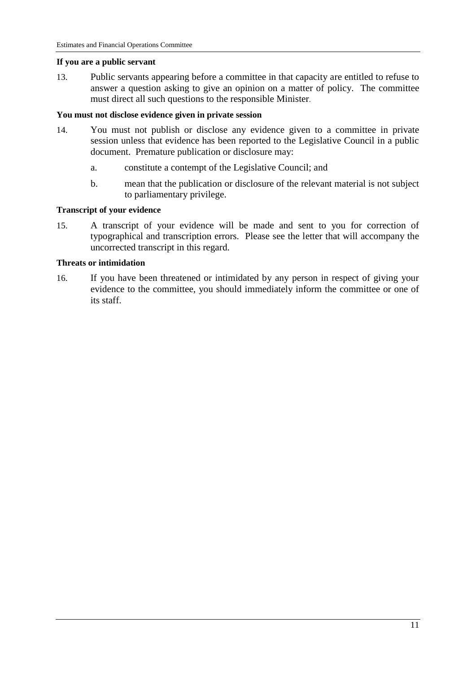#### **If you are a public servant**

13. Public servants appearing before a committee in that capacity are entitled to refuse to answer a question asking to give an opinion on a matter of policy. The committee must direct all such questions to the responsible Minister.

#### **You must not disclose evidence given in private session**

- 14. You must not publish or disclose any evidence given to a committee in private session unless that evidence has been reported to the Legislative Council in a public document. Premature publication or disclosure may:
	- a. constitute a contempt of the Legislative Council; and
	- b. mean that the publication or disclosure of the relevant material is not subject to parliamentary privilege.

#### **Transcript of your evidence**

15. A transcript of your evidence will be made and sent to you for correction of typographical and transcription errors. Please see the letter that will accompany the uncorrected transcript in this regard.

#### **Threats or intimidation**

16. If you have been threatened or intimidated by any person in respect of giving your evidence to the committee, you should immediately inform the committee or one of its staff.